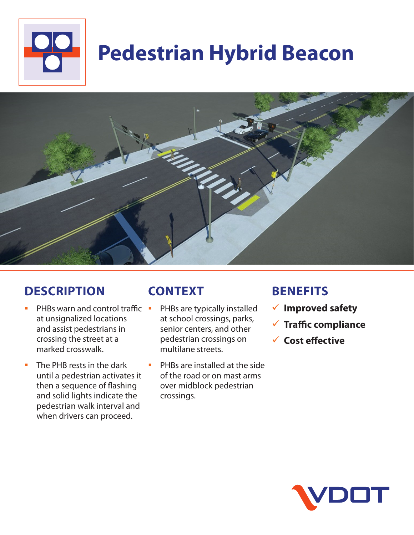

# **Pedestrian Hybrid Beacon**



# **DESCRIPTION**

- PHBs warn and control traffic  $\blacksquare$ at unsignalized locations and assist pedestrians in crossing the street at a marked crosswalk.
- **The PHB rests in the dark** until a pedestrian activates it then a sequence of flashing and solid lights indicate the pedestrian walk interval and when drivers can proceed.

# **CONTEXT**

- PHBs are typically installed at school crossings, parks, senior centers, and other pedestrian crossings on multilane streets.
- PHBs are installed at the side of the road or on mast arms over midblock pedestrian crossings.

### **BENEFITS**

- 9 **Improved safety**
- 9 **Traffic compliance**
- 9 **Cost effective**